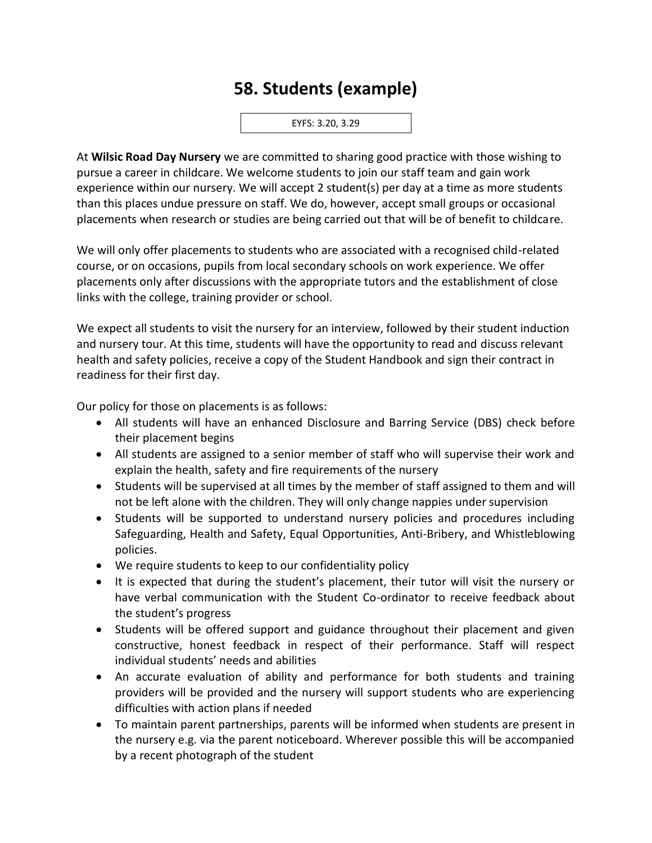## **58. Students (example)**

EYFS: 3.20, 3.29

At **Wilsic Road Day Nursery** we are committed to sharing good practice with those wishing to pursue a career in childcare. We welcome students to join our staff team and gain work experience within our nursery. We will accept 2 student(s) per day at a time as more students than this places undue pressure on staff. We do, however, accept small groups or occasional placements when research or studies are being carried out that will be of benefit to childcare.

We will only offer placements to students who are associated with a recognised child-related course, or on occasions, pupils from local secondary schools on work experience. We offer placements only after discussions with the appropriate tutors and the establishment of close links with the college, training provider or school.

We expect all students to visit the nursery for an interview, followed by their student induction and nursery tour. At this time, students will have the opportunity to read and discuss relevant health and safety policies, receive a copy of the Student Handbook and sign their contract in readiness for their first day.

Our policy for those on placements is as follows:

- All students will have an enhanced Disclosure and Barring Service (DBS) check before their placement begins
- All students are assigned to a senior member of staff who will supervise their work and explain the health, safety and fire requirements of the nursery
- Students will be supervised at all times by the member of staff assigned to them and will not be left alone with the children. They will only change nappies under supervision
- Students will be supported to understand nursery policies and procedures including Safeguarding, Health and Safety, Equal Opportunities, Anti-Bribery, and Whistleblowing policies.
- We require students to keep to our confidentiality policy
- It is expected that during the student's placement, their tutor will visit the nursery or have verbal communication with the Student Co-ordinator to receive feedback about the student's progress
- Students will be offered support and guidance throughout their placement and given constructive, honest feedback in respect of their performance. Staff will respect individual students' needs and abilities
- An accurate evaluation of ability and performance for both students and training providers will be provided and the nursery will support students who are experiencing difficulties with action plans if needed
- To maintain parent partnerships, parents will be informed when students are present in the nursery e.g. via the parent noticeboard. Wherever possible this will be accompanied by a recent photograph of the student